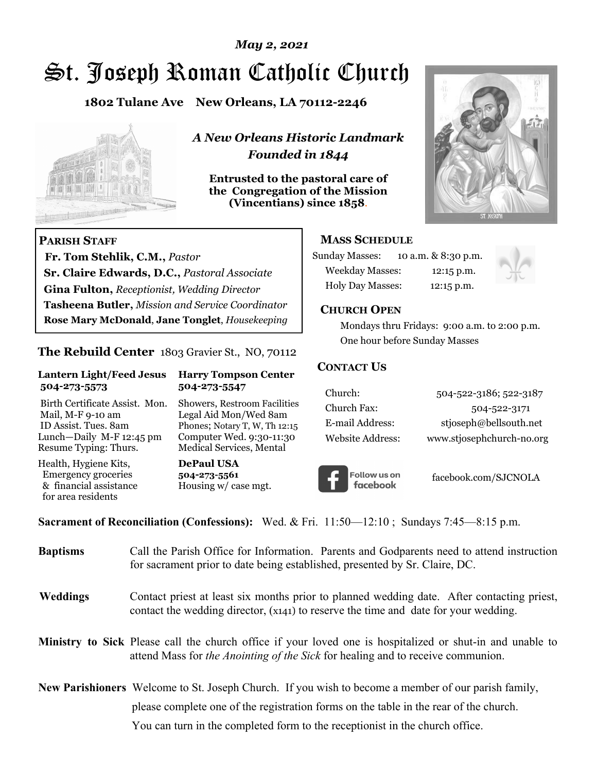## *May 2, 2021*

# St. Joseph Roman Catholic Church

**1802 Tulane Ave New Orleans, LA 70112-2246**



 **Fr. Tom Stehlik, C.M.,** *Pastor* 

**Sr. Claire Edwards, D.C.,** *Pastoral Associate* **Gina Fulton,** *Receptionist, Wedding Director* 

**Tasheena Butler,** *Mission and Service Coordinator* **Rose Mary McDonald**, **Jane Tonglet**, *Housekeeping*

**The Rebuild Center** 1803 Gravier St., NO, 70112

**Lantern Light/Feed Jesus Harry Tompson Center** 

Birth Certificate Assist. Mon. Showers, Restroom Facilities Mail, M-F 9-10 am Legal Aid Mon/Wed 8am ID Assist. Tues. 8am Phones; Notary T, W, Th 12:15 Lunch—Daily M-F 12:45 pm Computer Wed. 9:30-11:30 Resume Typing: Thurs. Medical Services, Mental

 **504-273-5573 504-273-5547** 

Health, Hygiene Kits, **DePaul USA**  Emergency groceries **504-273-5561**

& financial assistance Housing w/ case mgt.

**PARISH STAFF**

for area residents

*A New Orleans Historic Landmark Founded in 1844* 

**Entrusted to the pastoral care of the Congregation of the Mission (Vincentians) since 1858**.



## **MASS SCHEDULE**

| <b>Sunday Masses:</b>  | 10 a.m. & 8:30 p.m. |
|------------------------|---------------------|
| <b>Weekday Masses:</b> | $12:15$ p.m.        |
| Holy Day Masses:       | 12:15 p.m.          |



## **CHURCH OPEN**

 Mondays thru Fridays: 9:00 a.m. to 2:00 p.m. One hour before Sunday Masses

## **CONTACT US**

| Church:          | 504-522-3186; 522-3187    |
|------------------|---------------------------|
| Church Fax:      | 504-522-3171              |
| E-mail Address:  | stjoseph@bellsouth.net    |
| Website Address: | www.stjosephchurch-no.org |



facebook.com/SJCNOLA

**Sacrament of Reconciliation (Confessions):** Wed. & Fri. 11:50—12:10 ; Sundays 7:45—8:15 p.m.

| <b>Baptisms</b> | Call the Parish Office for Information. Parents and Godparents need to attend instruction<br>for sacrament prior to date being established, presented by Sr. Claire, DC.                                   |  |  |
|-----------------|------------------------------------------------------------------------------------------------------------------------------------------------------------------------------------------------------------|--|--|
| <b>Weddings</b> | Contact priest at least six months prior to planned wedding date. After contacting priest,<br>contact the wedding director, (x141) to reserve the time and date for your wedding.                          |  |  |
|                 | <b>Ministry to Sick</b> Please call the church office if your loved one is hospitalized or shut-in and unable to<br>attend Mass for <i>the Anointing of the Sick</i> for healing and to receive communion. |  |  |
|                 | <b>New Parishioners</b> Welcome to St. Joseph Church. If you wish to become a member of our parish family,                                                                                                 |  |  |
|                 | please complete one of the registration forms on the table in the rear of the church.                                                                                                                      |  |  |
|                 | You can turn in the completed form to the receptionist in the church office.                                                                                                                               |  |  |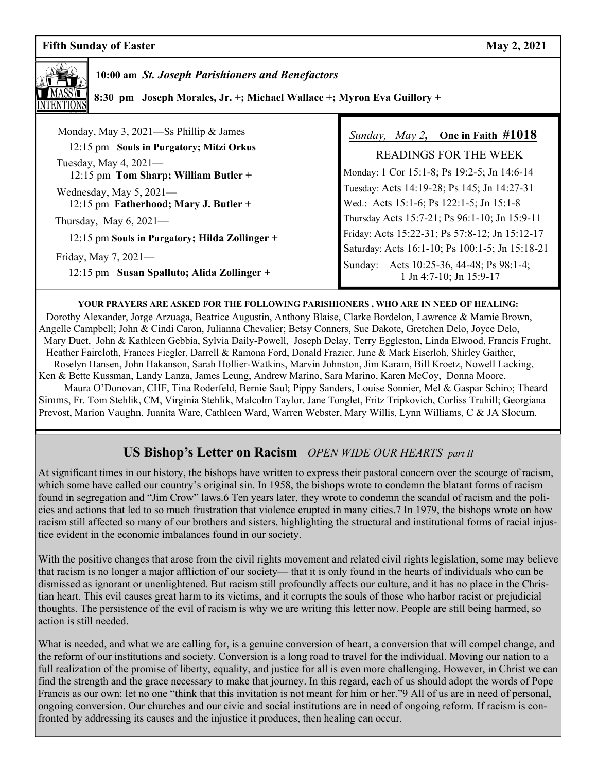## **Fifth Sunday of Easter May 2, 2021**



 **10:00 am** *St. Joseph Parishioners and Benefactors*

 **8:30 pm Joseph Morales, Jr. +; Michael Wallace +; Myron Eva Guillory +** 

| Monday, May 3, 2021—Ss Phillip & James<br>12:15 pm Souls in Purgatory; Mitzi Orkus<br>Tuesday, May 4, $2021-$<br>12:15 pm Tom Sharp; William Butler + | <i>Sunday, May 2, One in Faith #</i> 1018<br><b>READINGS FOR THE WEEK</b><br>Monday: 1 Cor 15:1-8; Ps 19:2-5; Jn 14:6-14 |
|-------------------------------------------------------------------------------------------------------------------------------------------------------|--------------------------------------------------------------------------------------------------------------------------|
| Wednesday, May $5, 2021$ —<br>12:15 pm Fatherhood; Mary J. Butler +                                                                                   | Tuesday: Acts 14:19-28; Ps 145; Jn 14:27-31<br>Wed.: Acts 15:1-6; Ps 122:1-5; Jn 15:1-8                                  |
| Thursday, May $6, 2021$ —                                                                                                                             | Thursday Acts 15:7-21; Ps 96:1-10; Jn 15:9-11                                                                            |
| 12:15 pm Souls in Purgatory; Hilda Zollinger +                                                                                                        | Friday: Acts 15:22-31; Ps 57:8-12; Jn 15:12-17                                                                           |
| Friday, May 7, $2021$ —<br>12:15 pm Susan Spalluto; Alida Zollinger +                                                                                 | Saturday: Acts 16:1-10; Ps 100:1-5; Jn 15:18-21<br>Sunday: Acts 10:25-36, 44-48; Ps 98:1-4;<br>1 Jn 4:7-10; Jn 15:9-17   |

#### **YOUR PRAYERS ARE ASKED FOR THE FOLLOWING PARISHIONERS , WHO ARE IN NEED OF HEALING:**

 Dorothy Alexander, Jorge Arzuaga, Beatrice Augustin, Anthony Blaise, Clarke Bordelon, Lawrence & Mamie Brown, Angelle Campbell; John & Cindi Caron, Julianna Chevalier; Betsy Conners, Sue Dakote, Gretchen Delo, Joyce Delo, Mary Duet, John & Kathleen Gebbia, Sylvia Daily-Powell, Joseph Delay, Terry Eggleston, Linda Elwood, Francis Frught, Heather Faircloth, Frances Fiegler, Darrell & Ramona Ford, Donald Frazier, June & Mark Eiserloh, Shirley Gaither, Roselyn Hansen, John Hakanson, Sarah Hollier-Watkins, Marvin Johnston, Jim Karam, Bill Kroetz, Nowell Lacking, Ken & Bette Kussman, Landy Lanza, James Leung, Andrew Marino, Sara Marino, Karen McCoy, Donna Moore, Maura O'Donovan, CHF, Tina Roderfeld, Bernie Saul; Pippy Sanders, Louise Sonnier, Mel & Gaspar Schiro; Theard

Simms, Fr. Tom Stehlik, CM, Virginia Stehlik, Malcolm Taylor, Jane Tonglet, Fritz Tripkovich, Corliss Truhill; Georgiana Prevost, Marion Vaughn, Juanita Ware, Cathleen Ward, Warren Webster, Mary Willis, Lynn Williams, C & JA Slocum.

## **US Bishop's Letter on Racism** *OPEN WIDE OUR HEARTS part II*

At significant times in our history, the bishops have written to express their pastoral concern over the scourge of racism, which some have called our country's original sin. In 1958, the bishops wrote to condemn the blatant forms of racism found in segregation and "Jim Crow" laws.6 Ten years later, they wrote to condemn the scandal of racism and the policies and actions that led to so much frustration that violence erupted in many cities.7 In 1979, the bishops wrote on how racism still affected so many of our brothers and sisters, highlighting the structural and institutional forms of racial injustice evident in the economic imbalances found in our society.

With the positive changes that arose from the civil rights movement and related civil rights legislation, some may believe that racism is no longer a major affliction of our society— that it is only found in the hearts of individuals who can be dismissed as ignorant or unenlightened. But racism still profoundly affects our culture, and it has no place in the Christian heart. This evil causes great harm to its victims, and it corrupts the souls of those who harbor racist or prejudicial thoughts. The persistence of the evil of racism is why we are writing this letter now. People are still being harmed, so action is still needed.

What is needed, and what we are calling for, is a genuine conversion of heart, a conversion that will compel change, and the reform of our institutions and society. Conversion is a long road to travel for the individual. Moving our nation to a full realization of the promise of liberty, equality, and justice for all is even more challenging. However, in Christ we can find the strength and the grace necessary to make that journey. In this regard, each of us should adopt the words of Pope Francis as our own: let no one "think that this invitation is not meant for him or her."9 All of us are in need of personal, ongoing conversion. Our churches and our civic and social institutions are in need of ongoing reform. If racism is confronted by addressing its causes and the injustice it produces, then healing can occur.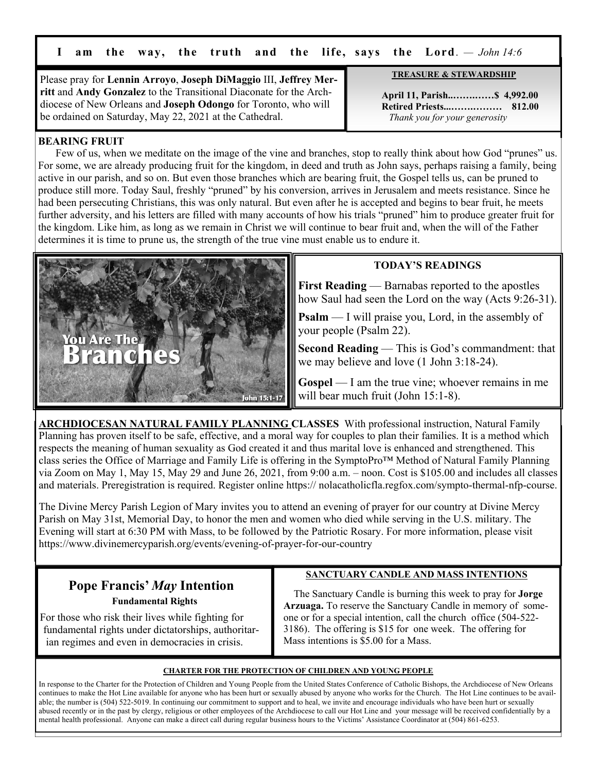**I am the way, the truth and the life, says the Lord**. *— John 14:6*

Please pray for **Lennin Arroyo**, **Joseph DiMaggio** III, **Jeffrey Merritt** and **Andy Gonzalez** to the Transitional Diaconate for the Archdiocese of New Orleans and **Joseph Odongo** for Toronto, who will be ordained on Saturday, May 22, 2021 at the Cathedral.

**TREASURE & STEWARDSHIP**

 **April 11, Parish..…….……\$ 4,992.00 Retired Priests...…….……… 812.00** *Thank you for your generosity*

## **BEARING FRUIT**

 Few of us, when we meditate on the image of the vine and branches, stop to really think about how God "prunes" us. For some, we are already producing fruit for the kingdom, in deed and truth as John says, perhaps raising a family, being active in our parish, and so on. But even those branches which are bearing fruit, the Gospel tells us, can be pruned to produce still more. Today Saul, freshly "pruned" by his conversion, arrives in Jerusalem and meets resistance. Since he had been persecuting Christians, this was only natural. But even after he is accepted and begins to bear fruit, he meets further adversity, and his letters are filled with many accounts of how his trials "pruned" him to produce greater fruit for the kingdom. Like him, as long as we remain in Christ we will continue to bear fruit and, when the will of the Father determines it is time to prune us, the strength of the true vine must enable us to endure it.



## **TODAY'S READINGS**

**First Reading** — Barnabas reported to the apostles how Saul had seen the Lord on the way (Acts 9:26-31).

**Psalm** — I will praise you, Lord, in the assembly of your people (Psalm 22).

**Second Reading** — This is God's commandment: that we may believe and love (1 John 3:18-24).

Gospel — I am the true vine; whoever remains in me will bear much fruit (John 15:1-8).

**ARCHDIOCESAN NATURAL FAMILY PLANNING CLASSES** With professional instruction, Natural Family Planning has proven itself to be safe, effective, and a moral way for couples to plan their families. It is a method which respects the meaning of human sexuality as God created it and thus marital love is enhanced and strengthened. This class series the Office of Marriage and Family Life is offering in the SymptoPro™ Method of Natural Family Planning via Zoom on May 1, May 15, May 29 and June 26, 2021, from 9:00 a.m. – noon. Cost is \$105.00 and includes all classes and materials. Preregistration is required. Register online https:// nolacatholicfla.regfox.com/sympto-thermal-nfp-course.

The Divine Mercy Parish Legion of Mary invites you to attend an evening of prayer for our country at Divine Mercy Parish on May 31st, Memorial Day, to honor the men and women who died while serving in the U.S. military. The Evening will start at 6:30 PM with Mass, to be followed by the Patriotic Rosary. For more information, please visit https://www.divinemercyparish.org/events/evening-of-prayer-for-our-country

# **Pope Francis'** *May* **Intention Fundamental Rights**

 For those who risk their lives while fighting for fundamental rights under dictatorships, authoritar ian regimes and even in democracies in crisis.

## **SANCTUARY CANDLE AND MASS INTENTIONS**

 The Sanctuary Candle is burning this week to pray for **Jorge Arzuaga.** To reserve the Sanctuary Candle in memory of someone or for a special intention, call the church office (504-522- 3186). The offering is \$15 for one week. The offering for Mass intentions is \$5.00 for a Mass.

#### **CHARTER FOR THE PROTECTION OF CHILDREN AND YOUNG PEOPLE**

In response to the Charter for the Protection of Children and Young People from the United States Conference of Catholic Bishops, the Archdiocese of New Orleans continues to make the Hot Line available for anyone who has been hurt or sexually abused by anyone who works for the Church. The Hot Line continues to be available; the number is (504) 522-5019. In continuing our commitment to support and to heal, we invite and encourage individuals who have been hurt or sexually abused recently or in the past by clergy, religious or other employees of the Archdiocese to call our Hot Line and your message will be received confidentially by a mental health professional. Anyone can make a direct call during regular business hours to the Victims' Assistance Coordinator at (504) 861-6253.